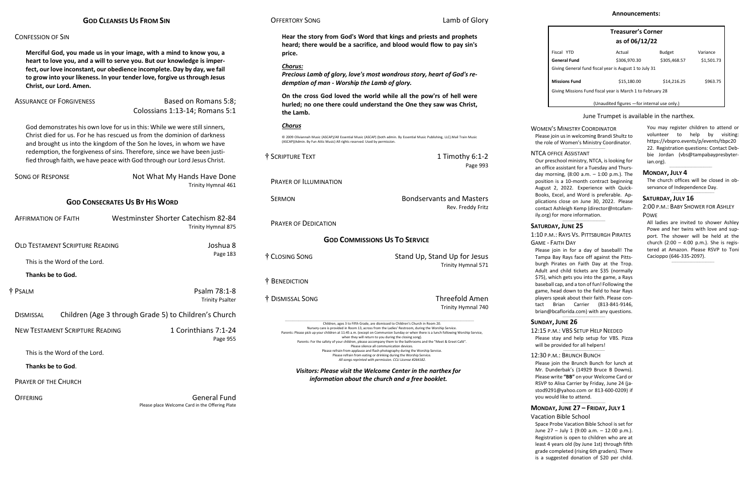### CONFESSION OF SIN

**Merciful God, you made us in your image, with a mind to know you, a heart to love you, and a will to serve you. But our knowledge is imperfect, our love inconstant, our obedience incomplete. Day by day, we fail to grow into your likeness. In your tender love, forgive us through Jesus Christ, our Lord. Amen.**

ASSURANCE OF FORGIVENESS Based on Romans 5:8; Colossians 1:13-14; Romans 5:1

> Not What My Hands Have Done Trinity Hymnal 461

God demonstrates his own love for us in this: While we were still sinners, Christ died for us. For he has rescued us from the dominion of darkness and brought us into the kingdom of the Son he loves, in whom we have redemption, the forgiveness of sins. Therefore, since we have been justified through faith, we have peace with God through our Lord Jesus Christ.

| <b>SONG OF RESPONSE</b> |  |
|-------------------------|--|
|                         |  |

### **GOD CONSECRATES US BY HIS WORD**

© 2009 Oliviannah Music (ASCAP)/All Essential Music (ASCAP) (both admin. By Essential Music Publishing, LLC).Mail Train Music (ASCAP)(Admin. By Fun Attic Music) All rights reserved. Used by permis

| <b>AFFIRMATION OF FAITH</b>            |                                                       | Westminster Shorter Catechism 82-84<br>Trinity Hymnal 875 |  |
|----------------------------------------|-------------------------------------------------------|-----------------------------------------------------------|--|
| <b>OLD TESTAMENT SCRIPTURE READING</b> |                                                       | Joshua 8                                                  |  |
| This is the Word of the Lord.          |                                                       | Page 183                                                  |  |
| Thanks be to God.                      |                                                       |                                                           |  |
| † Psalm                                |                                                       | Psalm 78:1-8<br><b>Trinity Psalter</b>                    |  |
| <b>DISMISSAL</b>                       | Children (Age 3 through Grade 5) to Children's Church |                                                           |  |
| <b>NEW TESTAMENT SCRIPTURE READING</b> |                                                       | 1 Corinthians 7:1-24<br>Page 955                          |  |
| This is the Word of the Lord.          |                                                       |                                                           |  |
| Thanks be to God.                      |                                                       |                                                           |  |
| <b>PRAYER OF THE CHURCH</b>            |                                                       |                                                           |  |

OFFERING General Fund Please place Welcome Card in the Offering Plate

## **OFFERTORY SONG Lamb of Glory**

# **Hear the story from God's Word that kings and priests and prophets heard; there would be a sacrifice, and blood would flow to pay sin's price.**

### *Chorus:*

*Precious Lamb of glory, love's most wondrous story, heart of God's redemption of man - Worship the Lamb of glory.*

**On the cross God loved the world while all the pow'rs of hell were hurled; no one there could understand the One they saw was Christ, the Lamb.**

### *Chorus*

The church offices will be closed in observance of Independence Day.  $\_$ 

 $\_$ 

| † SCRIPTURE TEXT            | 1 Timothy $6:1-2$<br>Page 993                                                                                                                                                                                                                                                                                                                                                                                                                                                                           |
|-----------------------------|---------------------------------------------------------------------------------------------------------------------------------------------------------------------------------------------------------------------------------------------------------------------------------------------------------------------------------------------------------------------------------------------------------------------------------------------------------------------------------------------------------|
| PRAYER OF ILLUMINATION      |                                                                                                                                                                                                                                                                                                                                                                                                                                                                                                         |
| <b>SFRMON</b>               | <b>Bondservants and Masters</b><br>Rev. Freddy Fritz                                                                                                                                                                                                                                                                                                                                                                                                                                                    |
| <b>PRAYER OF DEDICATION</b> |                                                                                                                                                                                                                                                                                                                                                                                                                                                                                                         |
|                             | <b>GOD COMMISSIONS US TO SERVICE</b>                                                                                                                                                                                                                                                                                                                                                                                                                                                                    |
| † Closing Song              | Stand Up, Stand Up for Jesus<br>Trinity Hymnal 571                                                                                                                                                                                                                                                                                                                                                                                                                                                      |
| † Benediction               |                                                                                                                                                                                                                                                                                                                                                                                                                                                                                                         |
| † Dismissal Song            | <b>Threefold Amen</b><br>Trinity Hymnal 740                                                                                                                                                                                                                                                                                                                                                                                                                                                             |
|                             | Children, ages 3 to Fifth Grade, are dismissed to Children's Church in Room 20.<br>Nursery care is provided in Room 13, across from the Ladies' Restroom, during the Worship Service.<br>Parents: Please pick up your children at 11:45 a.m. (except on Communion Sunday or when there is a lunch following Worship Service,<br>when they will return to you during the closing song).<br>Parents: For the safety of your children, please accompany them to the bathrooms and the "Meet & Greet Café". |

GAME - FAITH DAY Please join in for a day of baseball! The Tampa Bay Rays face off against the Pittsburgh Pirates on Faith Day at the Trop. Adult and child tickets are \$35 (normally \$75), which gets you into the game, a Rays baseball cap, and a ton of fun! Following the game, head down to the field to hear Rays players speak about their faith. Please contact Brian Carrier (813-841-9146, [brian@bcaflorida.com\)](mailto:brian@bcaflorida.com) with any questions.  $\_$ 

12:15 P.M.: VBS SETUP HELP NEEDED Please stay and help setup for VBS. Pizza will be provided for all helpers!  $\_$ 

Please silence all communication devices. Please refrain from applause and flash photography during the Worship Service. Please refrain from eating or drinking during the Worship Service. *All songs reprinted with permission. CCLI License #264182.*

*Visitors: Please visit the Welcome Center in the narthex for information about the church and a free booklet.*

| <b>Treasurer's Corner</b><br>as of 06/12/22                |              |               |            |  |
|------------------------------------------------------------|--------------|---------------|------------|--|
| Fiscal YTD                                                 | Actual       | <b>Budget</b> | Variance   |  |
| General Fund                                               | \$306,970.30 | \$305,468.57  | \$1,501.73 |  |
| Giving General fund fiscal year is August 1 to July 31     |              |               |            |  |
| <b>Missions Fund</b>                                       | \$15,180.00  | \$14,216.25   | \$963.75   |  |
| Giving Missions Fund fiscal year is March 1 to February 28 |              |               |            |  |
| (Unaudited figures - for internal use only.)               |              |               |            |  |

### June Trumpet is available in the narthex.

You may register children to attend or volunteer to help by visiting: [https://vbspro.events/p/events/tbpc20](https://vbspro.events/p/events/tbpc2022) [22.](https://vbspro.events/p/events/tbpc2022) Registration questions: Contact Debbie Jordan [\(vbs@tampabaypresbyter](mailto:vbs@tampabaypresbyterian.org)[ian.org\)](mailto:vbs@tampabaypresbyterian.org).

### **MONDAY, JULY 4**

### **SATURDAY, JULY 16**

2:00 P.M.: BABY SHOWER FOR ASHLEY POWE

All ladies are invited to shower Ashley Powe and her twins with love and support. The shower will be held at the church (2:00 – 4:00 p.m.). She is registered at Amazon. Please RSVP to Toni Cacioppo (646-335-2097).

 $\_$ 

### WOMEN'S MINISTRY COORDINATOR Please join us in welcoming Brandi Shultz to the role of Women's Ministry Coordinator.

NTCA OFFICE ASSISTANT Our preschool ministry, NTCA, is looking for an office assistant for a Tuesday and Thursday morning, (8:00 a.m. – 1:00 p.m.). The position is a 10-month contract beginning August 2, 2022. Experience with Quick-Books, Excel, and Word is preferable. Applications close on June 30, 2022. Please contact Ashleigh Kemp [\(director@ntcafam](mailto:director@ntcafamily.org)[ily.org\)](mailto:director@ntcafamily.org) for more information.

 $\_$ 

 $\_$ 

# **SATURDAY, JUNE 25**

# 1:10 P.M.: RAYS VS. PITTSBURGH PIRATES

# **SUNDAY, JUNE 26**

## 12:30 P.M.: BRUNCH BUNCH

Please join the Brunch Bunch for lunch at Mr. Dunderbak's (14929 Bruce B Downs). Please write **"BB"** on your Welcome Card or RSVP to Alisa Carrier by Friday, June 24 (jastod9291@yahoo.com or 813-600-0209) if you would like to attend.

 $\_$ 

# **MONDAY, JUNE 27 – FRIDAY, JULY 1**

Vacation Bible School Space Probe Vacation Bible School is set for June 27 – July 1 (9:00 a.m. – 12:00 p.m.). Registration is open to children who are at least 4 years old (by June 1st) through fifth grade completed (rising 6th graders). There is a suggested donation of \$20 per child.